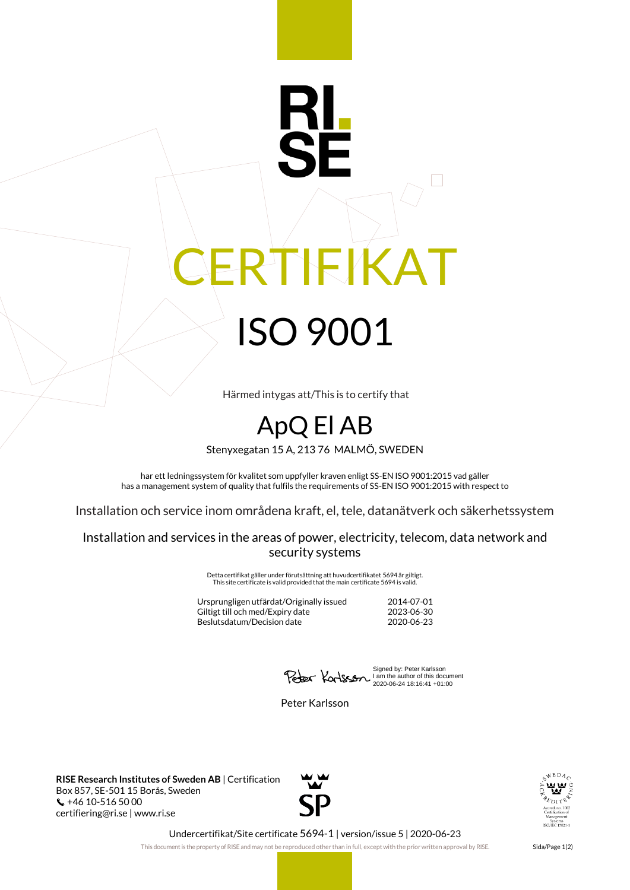## IEIKAT ISO 9001

Härmed intygas att/This is to certify that

## ApQ El AB

Stenyxegatan 15 A, 213 76 MALMÖ, SWEDEN

har ett ledningssystem för kvalitet som uppfyller kraven enligt SS-EN ISO 9001:2015 vad gäller has a management system of quality that fulfils the requirements of SS-EN ISO 9001:2015 with respect to

Installation och service inom områdena kraft, el, tele, datanätverk och säkerhetssystem

Installation and services in the areas of power, electricity, telecom, data network and security systems

> Detta certifikat gäller under förutsättning att huvudcertifikatet 5694 är giltigt. This site certificate is valid provided that the main certificate 5694 is valid.

Ursprungligen utfärdat/Originally issued 2014-07-01 Giltigt till och med/Expiry date Beslutsdatum/Decision date 2020-06-23

Signed by: Peter Karlsson I am the author of this document 2020-06-24 18:16:41 +01:00

Peter Karlsson

**RISE Research Institutes of Sweden AB** | Certification Box 857, SE-501 15 Borås, Sweden  $\binom{4}{10}$  +46 10-516 50 00 certifiering@ri.se | www.ri.se





Undercertifikat/Site certificate 5694-1 | version/issue 5 | 2020-06-23

This document is the property of RISE and may not be reproduced other than in full, except with the prior written approval by RISE. Sida/Page 1(2)